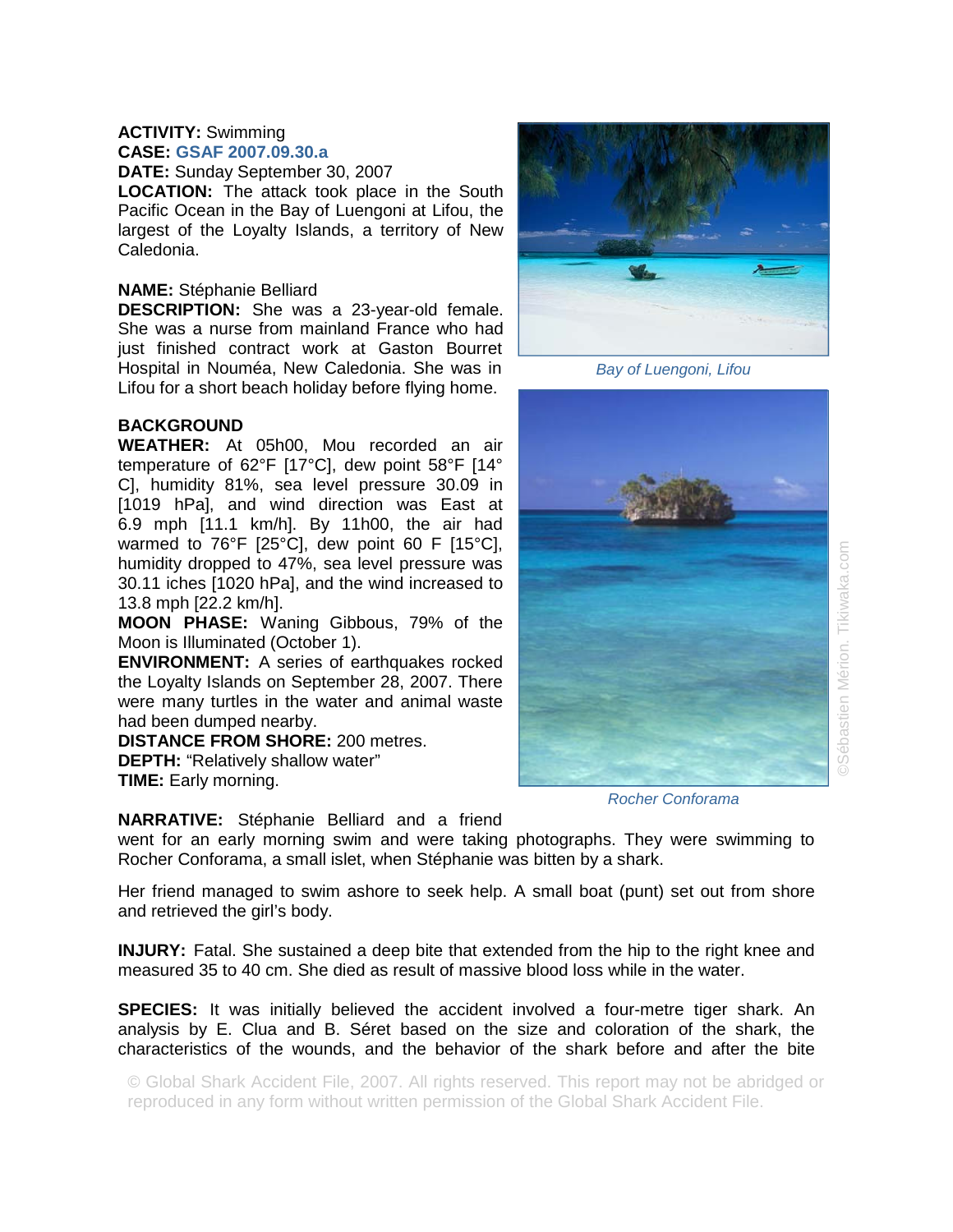## **ACTIVITY:** Swimming **CASE: GSAF 2007.09.30.a**

**DATE:** Sunday September 30, 2007

**LOCATION:** The attack took place in the South Pacific Ocean in the Bay of Luengoni at Lifou, the largest of the Loyalty Islands, a territory of New Caledonia.

## **NAME:** Stéphanie Belliard

**DESCRIPTION:** She was a 23-year-old female. She was a nurse from mainland France who had just finished contract work at Gaston Bourret Hospital in Nouméa, New Caledonia. She was in Lifou for a short beach holiday before flying home.

## **BACKGROUND**

**WEATHER:** At 05h00, Mou recorded an air temperature of 62°F [17°C], dew point 58°F [14° C], humidity 81%, sea level pressure 30.09 in [1019 hPa], and wind direction was East at 6.9 mph [11.1 km/h]. By 11h00, the air had warmed to 76°F [25°C], dew point 60 F [15°C], humidity dropped to 47%, sea level pressure was 30.11 iches [1020 hPa], and the wind increased to 13.8 mph [22.2 km/h].

**MOON PHASE:** Waning Gibbous, 79% of the Moon is Illuminated (October 1).

**ENVIRONMENT:** A series of earthquakes rocked the Loyalty Islands on September 28, 2007. There were many turtles in the water and animal waste had been dumped nearby.

**DISTANCE FROM SHORE:** 200 metres. **DEPTH:** "Relatively shallow water" **TIME:** Early morning.

**NARRATIVE:** Stéphanie Belliard and a friend

went for an early morning swim and were taking photographs. They were swimming to Rocher Conforama, a small islet, when Stéphanie was bitten by a shark.

Her friend managed to swim ashore to seek help. A small boat (punt) set out from shore and retrieved the girl's body.

**INJURY:** Fatal. She sustained a deep bite that extended from the hip to the right knee and measured 35 to 40 cm. She died as result of massive blood loss while in the water.

**SPECIES:** It was initially believed the accident involved a four-metre tiger shark. An analysis by E. Clua and B. Séret based on the size and coloration of the shark, the characteristics of the wounds, and the behavior of the shark before and after the bite

© Global Shark Accident File, 2007. All rights reserved. This report may not be abridged or reproduced in any form without written permission of the Global Shark Accident File.



*Bay of Luengoni, Lifou* 

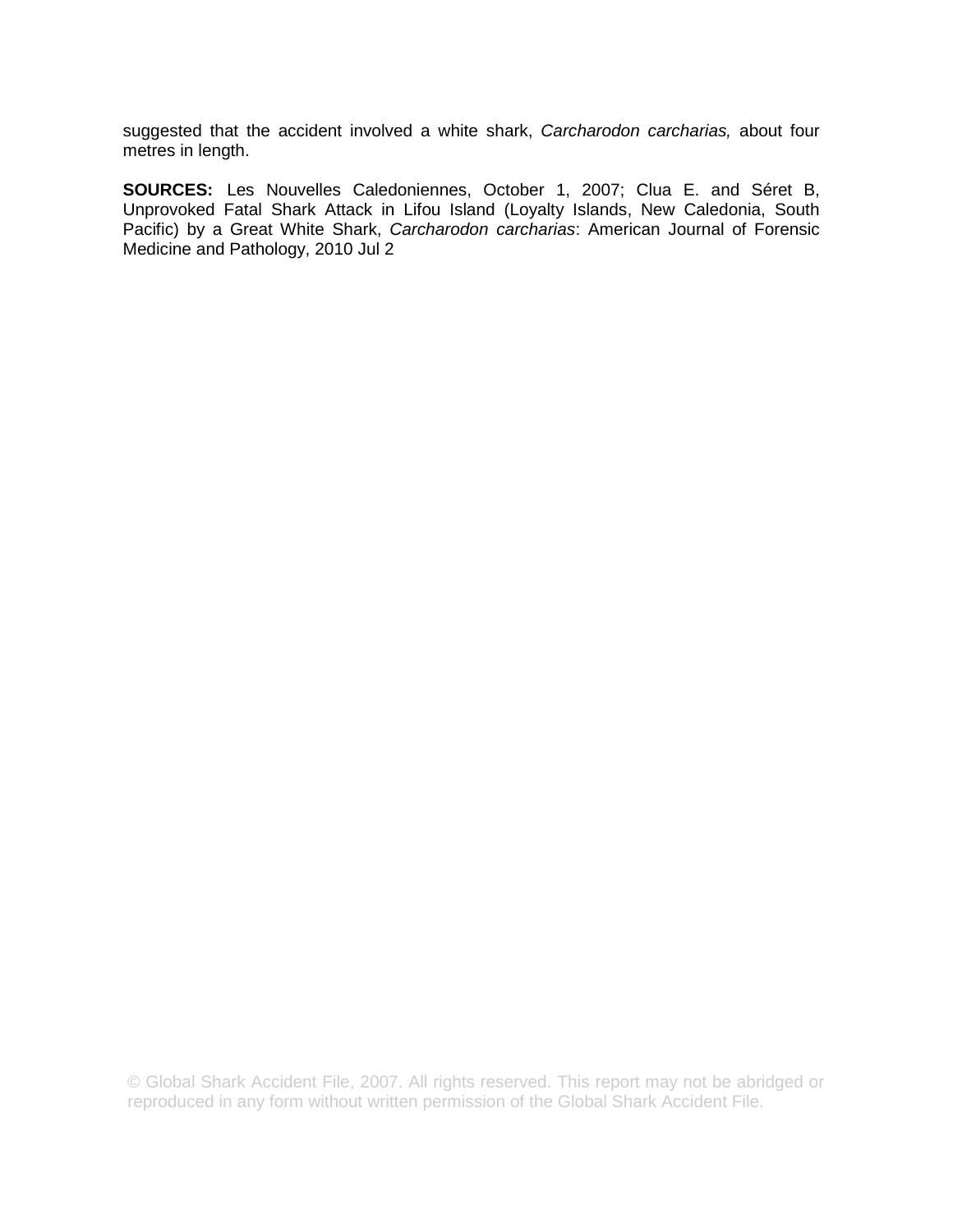suggested that the accident involved a white shark, *Carcharodon carcharias,* about four metres in length.

**SOURCES:** Les Nouvelles Caledoniennes, October 1, 2007; Clua E. and Séret B, Unprovoked Fatal Shark Attack in Lifou Island (Loyalty Islands, New Caledonia, South Pacific) by a Great White Shark, *Carcharodon carcharias*: American Journal of Forensic Medicine and Pathology, 2010 Jul 2

© Global Shark Accident File, 2007. All rights reserved. This report may not be abridged or reproduced in any form without written permission of the Global Shark Accident File.